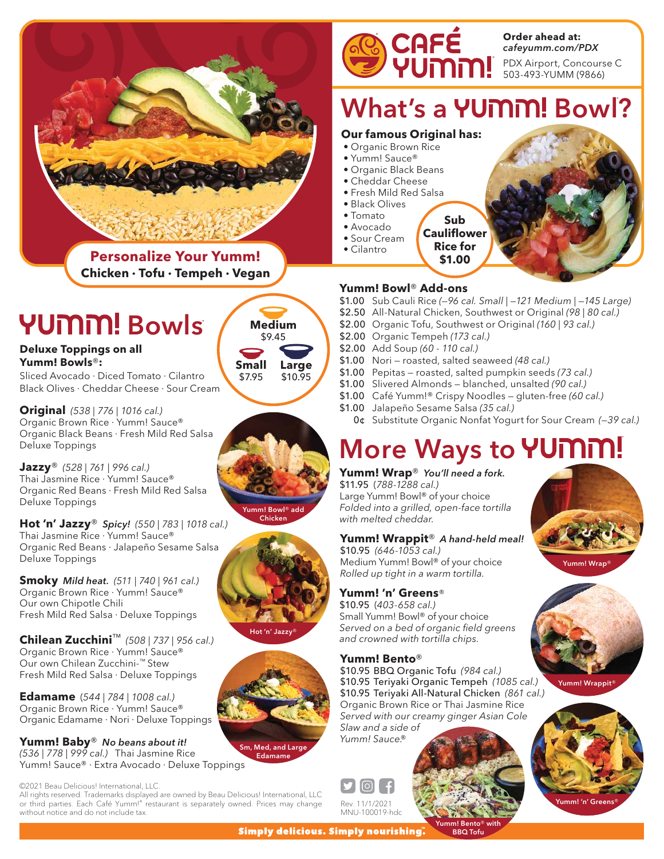

#### PDX Airport, Concourse C 503-493-YUMM (9866) **Order ahead at:** *cafeyumm.com/PDX*

What's a YUMM! Bowl?

#### **Our famous Original has:**

- Organic Brown Rice
- Yumm! Sauce®
- Organic Black Beans • Cheddar Cheese
- Fresh Mild Red Salsa
- Black Olives
- Tomato
- Avocado
- Sour Cream • Cilantro
	- **Rice for**

**\$1.00**

**Sub**



**Yumm! Bowl**® **Add-ons**

- \$1.00 Sub Cauli Rice *(—96 cal. Small | —121 Medium | —145 Large)*
- \$2.50 All-Natural Chicken, Southwest or Original *(98 | 80 cal.)*
- \$2.00 Organic Tofu, Southwest or Original *(160 | 93 cal.)*
- \$2.00 Organic Tempeh *(173 cal.)*
- \$2.00 Add Soup *(60 110 cal.)*
- \$1.00 Nori roasted, salted seaweed *(48 cal.)*
- \$1.00 Pepitas roasted, salted pumpkin seeds *(73 cal.)*
- \$1.00 Slivered Almonds blanched, unsalted *(90 cal.)*
- \$1.00 Café Yumm!® Crispy Noodles gluten-free *(60 cal.)*
- \$1.00 Jalapeño Sesame Salsa *(35 cal.)*
	- 0¢ Substitute Organic Nonfat Yogurt for Sour Cream *(—39 cal.)*

## **More Ways to YUMM!**

#### **Yumm! Wrap**® *You'll need a fork.*

\$11.95 (*788-1288 cal.)* Large Yumm! Bowl® of your choice *Folded into a grilled, open-face tortilla with melted cheddar.*

#### **Yumm! Wrappit**® *A hand-held meal!*

\$10.95 *(646-1053 cal.)* Medium Yumm! Bowl® of your choice *Rolled up tight in a warm tortilla.*

#### **Yumm! 'n' Greens***®*

\$10.95 (*403-658 cal.)* Small Yumm! Bowl® of your choice *Served on a bed of organic field greens and crowned with tortilla chips.*

#### **Yumm! Bento**®

\$10.95 BBQ Organic Tofu *(984 cal.)* \$10.95 Teriyaki Organic Tempeh *(1085 cal.)* \$10.95 Teriyaki All-Natural Chicken *(861 cal.)* Organic Brown Rice or Thai Jasmine Rice *Served with our creamy ginger Asian Cole Slaw and a side of Yumm! Sauce.®*







Yumm! 'n' Greens®

**Personalize Your Yumm! Chicken · Tofu · Tempeh · Vegan**

# YUMM! Bowls

**Deluxe Toppings on all Yumm! Bowls**®**:**

Sliced Avocado · Diced Tomato · Cilantro Black Olives · Cheddar Cheese · Sour Cream

**Original** *(538 | 776 | 1016 cal.)* Organic Brown Rice · Yumm! Sauce® Organic Black Beans · Fresh Mild Red Salsa Deluxe Toppings

**Jazzy**® *(528 | 761 | 996 cal.)* Thai Jasmine Rice · Yumm! Sauce® Organic Red Beans · Fresh Mild Red Salsa Deluxe Toppings

**Hot 'n' Jazzy**® *Spicy! (550 | 783 | 1018 cal.)* Thai Jasmine Rice · Yumm! Sauce® Organic Red Beans · Jalapeño Sesame Salsa Deluxe Toppings

**Smoky** *Mild heat. (511 | 740 | 961 cal.)* Organic Brown Rice · Yumm! Sauce® Our own Chipotle Chili Fresh Mild Red Salsa · Deluxe Toppings

**Chilean Zucchini**™ *(508 | 737 | 956 cal.)* Organic Brown Rice · Yumm! Sauce® Our own Chilean Zucchini*™* Stew Fresh Mild Red Salsa · Deluxe Toppings

**Edamame** (*544 | 784 | 1008 cal.)* Organic Brown Rice · Yumm! Sauce® Organic Edamame · Nori · Deluxe Toppings

**Yumm! Baby**® *No beans about it! (536 | 778 | 999 cal.)* Thai Jasmine Rice Yumm! Sauce® · Extra Avocado · Deluxe Toppings

©2021 Beau Delicious! International, LLC.

All rights reserved. Trademarks displayed are owned by Beau Delicious! International, LLC or third parties. Each Café Yumm!® restaurant is separately owned. Prices may change without notice and do not include tax.

Yumm! Bowl® add Chicken

\$9.45 **Medium**

> \$10.95 **Large**







Sm, Med, and Large



Edamame

\$7.95 **Small**